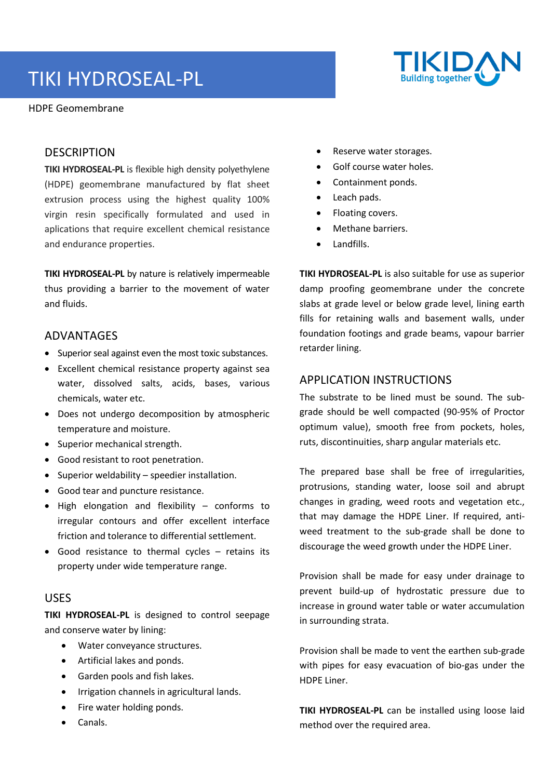# TIKI HYDROSEAL-PL

HDPE Geomembrane



#### **DESCRIPTION**

**TIKI HYDROSEAL-PL** is flexible high density polyethylene (HDPE) geomembrane manufactured by flat sheet extrusion process using the highest quality 100% virgin resin specifically formulated and used in aplications that require excellent chemical resistance and endurance properties.

**TIKI HYDROSEAL-PL** by nature is relatively impermeable thus providing a barrier to the movement of water and fluids.

#### ADVANTAGES

- Superior seal against even the most toxic substances.
- Excellent chemical resistance property against sea water, dissolved salts, acids, bases, various chemicals, water etc.
- Does not undergo decomposition by atmospheric temperature and moisture.
- Superior mechanical strength.
- Good resistant to root penetration.
- Superior weldability speedier installation.
- Good tear and puncture resistance.
- High elongation and flexibility conforms to irregular contours and offer excellent interface friction and tolerance to differential settlement.
- Good resistance to thermal cycles retains its property under wide temperature range.

### USES

**TIKI HYDROSEAL-PL** is designed to control seepage and conserve water by lining:

- Water conveyance structures.
- Artificial lakes and ponds.
- Garden pools and fish lakes.
- Irrigation channels in agricultural lands.
- Fire water holding ponds.
- Canals.
- Reserve water storages.
- Golf course water holes.
- Containment ponds.
- Leach pads.
- Floating covers.
- Methane barriers.
- Landfills.

**TIKI HYDROSEAL-PL** is also suitable for use as superior damp proofing geomembrane under the concrete slabs at grade level or below grade level, lining earth fills for retaining walls and basement walls, under foundation footings and grade beams, vapour barrier retarder lining.

#### APPLICATION INSTRUCTIONS

The substrate to be lined must be sound. The subgrade should be well compacted (90-95% of Proctor optimum value), smooth free from pockets, holes, ruts, discontinuities, sharp angular materials etc.

The prepared base shall be free of irregularities, protrusions, standing water, loose soil and abrupt changes in grading, weed roots and vegetation etc., that may damage the HDPE Liner. If required, antiweed treatment to the sub-grade shall be done to discourage the weed growth under the HDPE Liner.

Provision shall be made for easy under drainage to prevent build-up of hydrostatic pressure due to increase in ground water table or water accumulation in surrounding strata.

Provision shall be made to vent the earthen sub-grade with pipes for easy evacuation of bio-gas under the HDPE Liner.

**TIKI HYDROSEAL-PL** can be installed using loose laid method over the required area.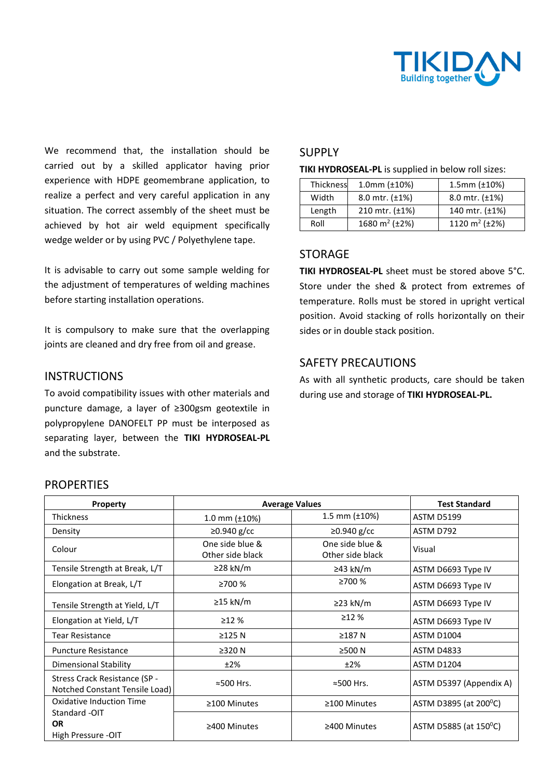

We recommend that, the installation should be carried out by a skilled applicator having prior experience with HDPE geomembrane application, to realize a perfect and very careful application in any situation. The correct assembly of the sheet must be achieved by hot air weld equipment specifically wedge welder or by using PVC / Polyethylene tape.

It is advisable to carry out some sample welding for the adjustment of temperatures of welding machines before starting installation operations.

It is compulsory to make sure that the overlapping joints are cleaned and dry free from oil and grease.

#### **INSTRUCTIONS**

To avoid compatibility issues with other materials and puncture damage, a layer of ≥300gsm geotextile in polypropylene DANOFELT PP must be interposed as separating layer, between the **TIKI HYDROSEAL-PL**  and the substrate.

#### SUPPLY

**TIKI HYDROSEAL-PL** is supplied in below roll sizes:

| Thickness | $1.0$ mm ( $\pm$ 10%)           | $1.5$ mm ( $\pm$ 10%)           |  |
|-----------|---------------------------------|---------------------------------|--|
| Width     | 8.0 mtr. $(\pm 1\%)$            | 8.0 mtr. $(\pm 1\%)$            |  |
| Length    | 210 mtr. $(\pm 1\%)$            | 140 mtr. (±1%)                  |  |
| Roll      | 1680 m <sup>2</sup> ( $\pm$ 2%) | 1120 m <sup>2</sup> ( $\pm$ 2%) |  |

### STORAGE

**TIKI HYDROSEAL-PL** sheet must be stored above 5°C. Store under the shed & protect from extremes of temperature. Rolls must be stored in upright vertical position. Avoid stacking of rolls horizontally on their sides or in double stack position.

## SAFETY PRECAUTIONS

As with all synthetic products, care should be taken during use and storage of **TIKI HYDROSEAL-PL.**

| Property                                                        | <b>Average Values</b>               |                                     | <b>Test Standard</b>               |
|-----------------------------------------------------------------|-------------------------------------|-------------------------------------|------------------------------------|
| <b>Thickness</b>                                                | 1.0 mm $(\pm 10\%)$                 | 1.5 mm $(\pm 10\%)$                 | <b>ASTM D5199</b>                  |
| Density                                                         | $\geq$ 0.940 g/cc                   | $\geq$ 0.940 g/cc                   | ASTM D792                          |
| Colour                                                          | One side blue &<br>Other side black | One side blue &<br>Other side black | Visual                             |
| Tensile Strength at Break, L/T                                  | ≥28 kN/m                            | ≥43 kN/m                            | ASTM D6693 Type IV                 |
| Elongation at Break, L/T                                        | ≥700 %                              | ≥700 %                              | ASTM D6693 Type IV                 |
| Tensile Strength at Yield, L/T                                  | $\geq$ 15 kN/m                      | $\geq$ 23 kN/m                      | ASTM D6693 Type IV                 |
| Elongation at Yield, L/T                                        | >12%                                | >12%                                | ASTM D6693 Type IV                 |
| <b>Tear Resistance</b>                                          | $\geq$ 125 N                        | $\geq$ 187 N                        | <b>ASTM D1004</b>                  |
| <b>Puncture Resistance</b>                                      | $\geq$ 320 N                        | ≥500 N                              | <b>ASTM D4833</b>                  |
| Dimensional Stability                                           | ±2%                                 | ±2%                                 | <b>ASTM D1204</b>                  |
| Stress Crack Resistance (SP -<br>Notched Constant Tensile Load) | ≈500 Hrs.                           | ≈500 Hrs.                           | ASTM D5397 (Appendix A)            |
| <b>Oxidative Induction Time</b>                                 | ≥100 Minutes                        | $\geq$ 100 Minutes                  | ASTM D3895 (at 200 $^{\circ}$ C)   |
| Standard -OIT<br><b>OR</b><br>High Pressure -OIT                | ≥400 Minutes                        | ≥400 Minutes                        | ASTM D5885 (at 150 <sup>°</sup> C) |